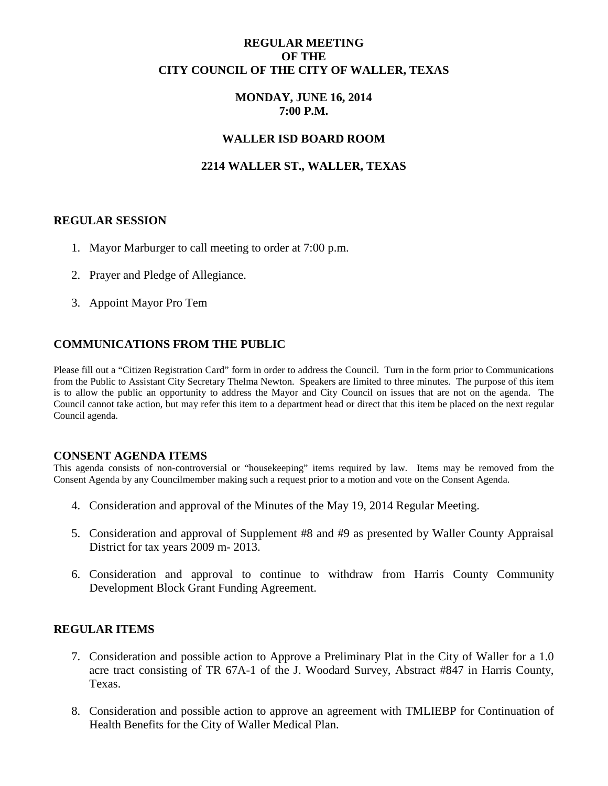## **REGULAR MEETING OF THE CITY COUNCIL OF THE CITY OF WALLER, TEXAS**

## **MONDAY, JUNE 16, 2014 7:00 P.M.**

## **WALLER ISD BOARD ROOM**

# **2214 WALLER ST., WALLER, TEXAS**

### **REGULAR SESSION**

- 1. Mayor Marburger to call meeting to order at 7:00 p.m.
- 2. Prayer and Pledge of Allegiance.
- 3. Appoint Mayor Pro Tem

# **COMMUNICATIONS FROM THE PUBLIC**

Please fill out a "Citizen Registration Card" form in order to address the Council. Turn in the form prior to Communications from the Public to Assistant City Secretary Thelma Newton. Speakers are limited to three minutes. The purpose of this item is to allow the public an opportunity to address the Mayor and City Council on issues that are not on the agenda. The Council cannot take action, but may refer this item to a department head or direct that this item be placed on the next regular Council agenda.

#### **CONSENT AGENDA ITEMS**

This agenda consists of non-controversial or "housekeeping" items required by law. Items may be removed from the Consent Agenda by any Councilmember making such a request prior to a motion and vote on the Consent Agenda.

- 4. Consideration and approval of the Minutes of the May 19, 2014 Regular Meeting.
- 5. Consideration and approval of Supplement #8 and #9 as presented by Waller County Appraisal District for tax years 2009 m- 2013.
- 6. Consideration and approval to continue to withdraw from Harris County Community Development Block Grant Funding Agreement.

### **REGULAR ITEMS**

- 7. Consideration and possible action to Approve a Preliminary Plat in the City of Waller for a 1.0 acre tract consisting of TR 67A-1 of the J. Woodard Survey, Abstract #847 in Harris County, Texas.
- 8. Consideration and possible action to approve an agreement with TMLIEBP for Continuation of Health Benefits for the City of Waller Medical Plan.